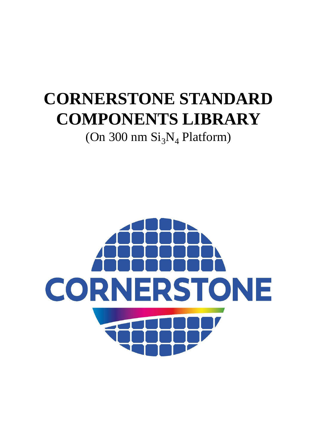# **CORNERSTONE STANDARD COMPONENTS LIBRARY** (On 300 nm  $Si<sub>3</sub>N<sub>4</sub>$  Platform)

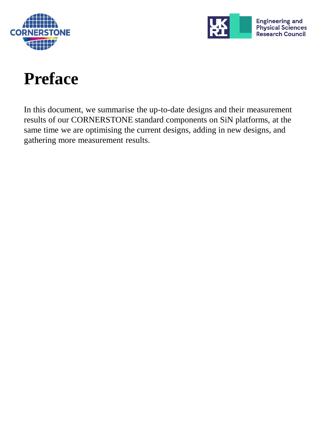



# **Preface**

In this document, we summarise the up-to-date designs and their measurement results of our CORNERSTONE standard components on SiN platforms, at the same time we are optimising the current designs, adding in new designs, and gathering more measurement results.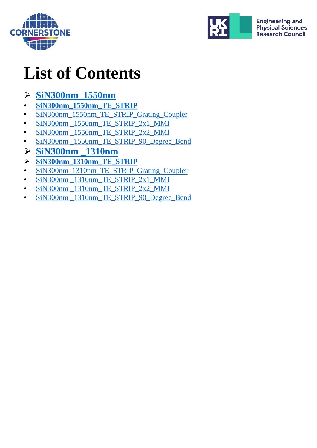



# **List of Contents**

#### ➢ **[SiN300nm\\_1550nm](#page-3-0)**

- **[SiN300nm\\_1550nm\\_TE\\_STRIP](#page-4-0)**
- [SiN300nm\\_1550nm\\_TE\\_STRIP\\_Grating\\_Coupler](#page-5-0)
- SiN300nm 1550nm TE STRIP 2x1 MMI
- SiN300nm 1550nm TE STRIP 2x2 MMI
- SiN300nm 1550nm TE STRIP 90 Degree Bend
- ➢ **[SiN300nm \\_1310nm](#page-9-0)**
- ➢ **[SiN300nm\\_1310nm\\_TE\\_STRIP](#page-10-0)**
- [SiN300nm\\_1310nm\\_TE\\_STRIP\\_Grating\\_Coupler](#page-11-0)
- [SiN300nm \\_1310nm\\_TE\\_STRIP\\_2x1\\_MMI](#page-12-0)
- [SiN300nm \\_1310nm\\_TE\\_STRIP\\_2x2\\_MMI](#page-13-0)
- SiN300nm 1310nm TE STRIP 90 Degree Bend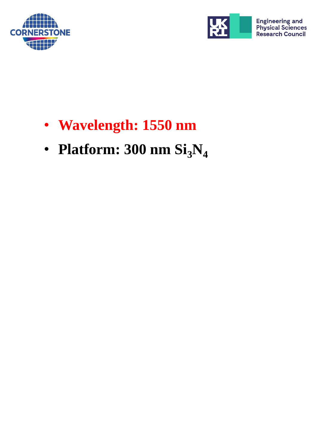<span id="page-3-0"></span>



- **Wavelength: 1550 nm**
- **Platform: 300 nm Si3N<sup>4</sup>**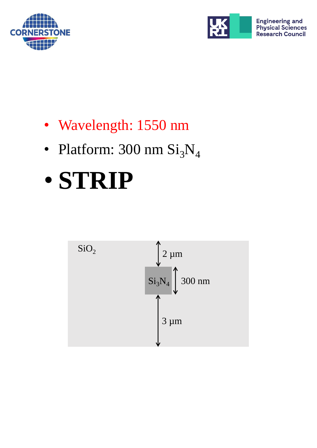<span id="page-4-0"></span>



- Wavelength: 1550 nm
- Platform:  $300 \text{ nm } \text{Si}_3\text{N}_4$

# • **STRIP**

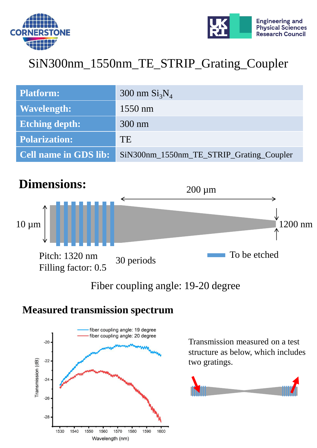<span id="page-5-0"></span>



### SiN300nm\_1550nm\_TE\_STRIP\_Grating\_Coupler

| <b>Platform:</b>      | 300 nm $Si3N4$                           |
|-----------------------|------------------------------------------|
| <b>Wavelength:</b>    | $1550$ nm                                |
| <b>Etching depth:</b> | $300 \text{ nm}$                         |
| <b>Polarization:</b>  | TE                                       |
| Cell name in GDS lib: | SiN300nm_1550nm_TE_STRIP_Grating_Coupler |



#### Fiber coupling angle: 19-20 degree

#### **Measured transmission spectrum**



Transmission measured on a test structure as below, which includes two gratings.

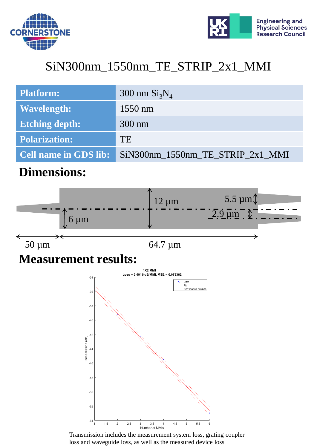<span id="page-6-0"></span>



## SiN300nm\_1550nm\_TE\_STRIP\_2x1\_MMI

| <b>Platform:</b>             | 300 nm $Si3N4$                   |
|------------------------------|----------------------------------|
| <b>Wavelength:</b>           | $1550$ nm                        |
| <b>Etching depth:</b>        | $300 \text{ nm}$                 |
| <b>Polarization:</b>         | TE                               |
| <b>Cell name in GDS lib:</b> | SiN300nm 1550nm TE STRIP 2x1 MMI |

#### **Dimensions:**



Transmission includes the measurement system loss, grating coupler loss and waveguide loss, as well as the measured device loss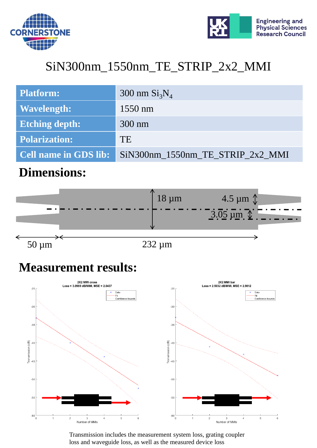<span id="page-7-0"></span>



## SiN300nm\_1550nm\_TE\_STRIP\_2x2\_MMI

| <b>Platform:</b>             | 300 nm $Si3N4$                   |
|------------------------------|----------------------------------|
| <b>Wavelength:</b>           | $1550$ nm                        |
| <b>Etching depth:</b>        | $300 \text{ nm}$                 |
| Polarization:                | <b>TE</b>                        |
| <b>Cell name in GDS lib:</b> | SiN300nm_1550nm_TE_STRIP_2x2_MMI |

#### **Dimensions:**

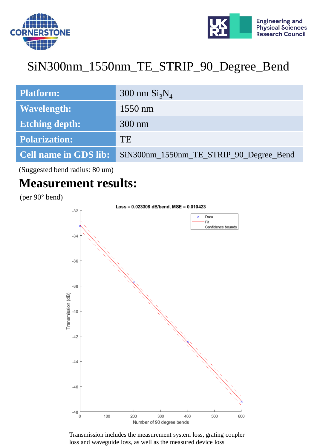<span id="page-8-0"></span>



## SiN300nm\_1550nm\_TE\_STRIP\_90\_Degree\_Bend

| <b>Platform:</b>             | 300 nm $Si3N4$                          |
|------------------------------|-----------------------------------------|
| <b>Wavelength:</b>           | $1550$ nm                               |
| <b>Etching depth:</b>        | $300 \text{ nm}$                        |
| <b>Polarization:</b>         | TE                                      |
| <b>Cell name in GDS lib:</b> | SiN300nm_1550nm_TE_STRIP_90_Degree_Bend |

(Suggested bend radius: 80 um)

#### **Measurement results:**

(per 90° bend)

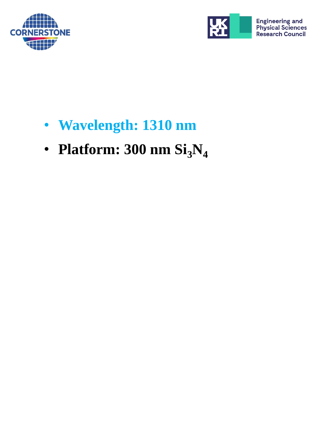<span id="page-9-0"></span>



- **Wavelength: 1310 nm**
- **Platform:**  $300 \text{ nm } \text{Si}_3\text{N}_4$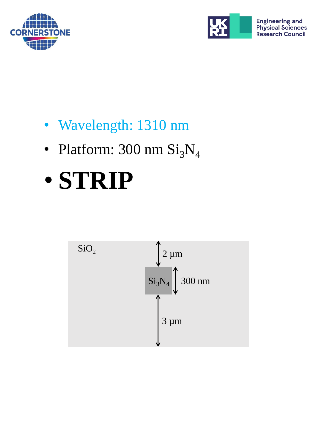<span id="page-10-0"></span>



- Wavelength: 1310 nm
- Platform:  $300 \text{ nm } \text{Si}_3\text{N}_4$

# • **STRIP**

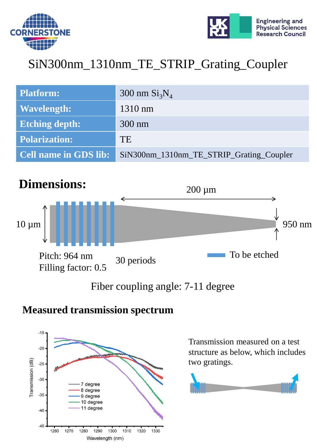<span id="page-11-0"></span>



## SiN300nm\_1310nm\_TE\_STRIP\_Grating\_Coupler

| <b>Platform:</b>             | 300 nm $Si3N4$                           |
|------------------------------|------------------------------------------|
| <b>Wavelength:</b>           | $1310$ nm                                |
| <b>Etching depth:</b>        | $300 \text{ nm}$                         |
| <b>Polarization:</b>         | <b>TE</b>                                |
| <b>Cell name in GDS lib:</b> | SiN300nm_1310nm_TE_STRIP_Grating_Coupler |



#### Fiber coupling angle: 7-11 degree

#### **Measured transmission spectrum**



Transmission measured on a test structure as below, which includes two gratings.

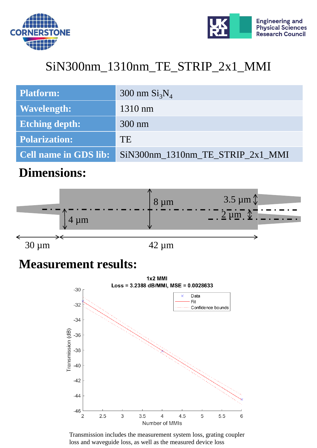<span id="page-12-0"></span>



## SiN300nm\_1310nm\_TE\_STRIP\_2x1\_MMI

| <b>Platform:</b>             | 300 nm $Si3N4$                   |
|------------------------------|----------------------------------|
| <b>Wavelength:</b>           | $1310$ nm                        |
| <b>Etching depth:</b>        | $300 \text{ nm}$                 |
| <b>Polarization:</b>         | <b>TE</b>                        |
| <b>Cell name in GDS lib:</b> | SiN300nm_1310nm_TE_STRIP_2x1_MMI |

#### **Dimensions:**

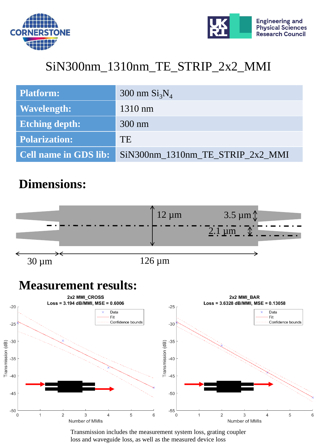<span id="page-13-0"></span>



## SiN300nm\_1310nm\_TE\_STRIP\_2x2\_MMI

| <b>Platform:</b>             | 300 nm $Si3N4$                   |
|------------------------------|----------------------------------|
| Wavelength:                  | $1310$ nm                        |
| <b>Etching depth:</b>        | $300 \text{ nm}$                 |
| <b>Polarization:</b>         | <b>TE</b>                        |
| <b>Cell name in GDS lib:</b> | SiN300nm 1310nm TE STRIP 2x2 MMI |

#### **Dimensions:**